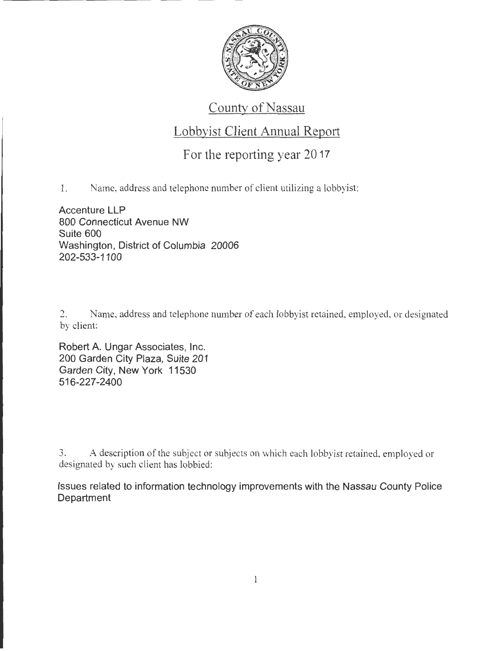

## County of Nassau

## Lobbyist Client Annual Report

For the reporting year 20 17

1. Name, address and telephone number of client utilizing a lobbyist:

Accenture **LLP**  800 Connecticut Avenue NW Suite 600 Washington, District of Columbia 20006 202-533-1100

2. Name, address and telephone number of each lobbyist retained, employed, or designated by client:

Robert A. Ungar Associates, Inc. 200 Garden City Plaza, Suite 201 Garden City, New York 11530 516-227-2400

3. A description of the subject or subjects on which each lobbyist retained. employed or designated by such client has lobbied:

Issues related to information technology improvements with the Nassau County Police **Department**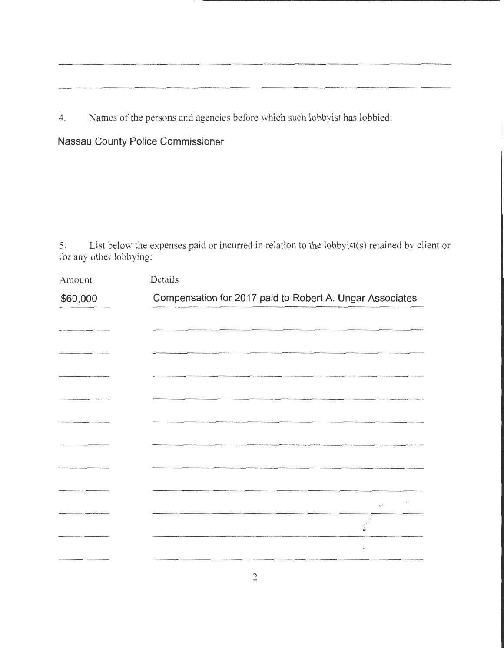Names of the persons and agencies before which such lobbyist has lobbied:  $4.$ 

Nassau County Police Commissioner

List below the expenses paid or incurred in relation to the lobbyist(s) retained by client or 5. for any other lobbying:

| Amount   | Details                                                  |                                        |
|----------|----------------------------------------------------------|----------------------------------------|
| \$60,000 | Compensation for 2017 paid to Robert A. Ungar Associates |                                        |
|          |                                                          |                                        |
|          |                                                          |                                        |
|          |                                                          |                                        |
|          |                                                          |                                        |
|          |                                                          |                                        |
|          |                                                          |                                        |
|          |                                                          |                                        |
|          |                                                          |                                        |
|          |                                                          | $\chi^2_{\rm{max}} = \frac{3\pi}{\pi}$ |
|          |                                                          | ú                                      |
|          |                                                          |                                        |
|          |                                                          |                                        |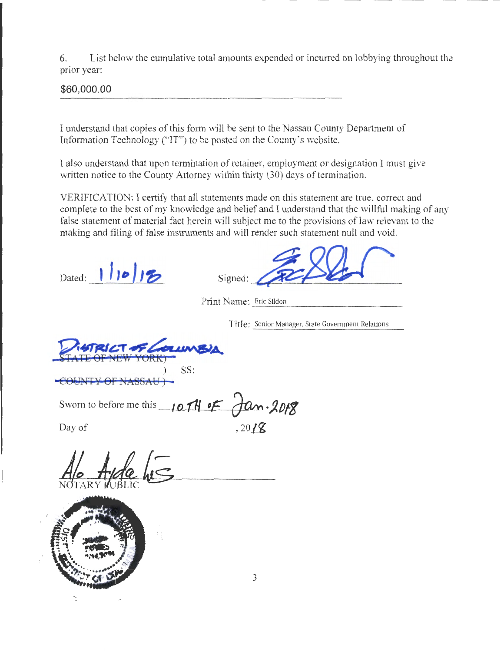6. List below the cumulative total amounts expended or incurred on lobbying throughout the prior year:

**\$60,000.00** 

I understand that copies of this form will be sent to the Nassau County Department of Information Technology ("IT") to be posted on the County's website.

I also understand that upon termination of retainer, employment or designation I must give written notice to the County Attorney within thirty (30) days of termination.

VERIFICATION: I certify that all statements made on this statement are true. correct and complete to the best of my knowledge and belief and I understand that the willful making of any false statement of material fact herein will subject me to the provisions of law relevant to the making and filing of false instnunents and will render such statement null and void.

Dated:  $1/10/12$ 

Signed:

Print Name: Eric Sildon

Title: Senior Manager. State Government Relations

STATE OF NEW YORK) SS:

**COUNTY OF NASSAU** ) -

Sworn to before me this  $107H$   $F$   $\frac{\partial F}{\partial x}$ . 2018 Day of  $\qquad \qquad$  , 20  $\sqrt{8}$